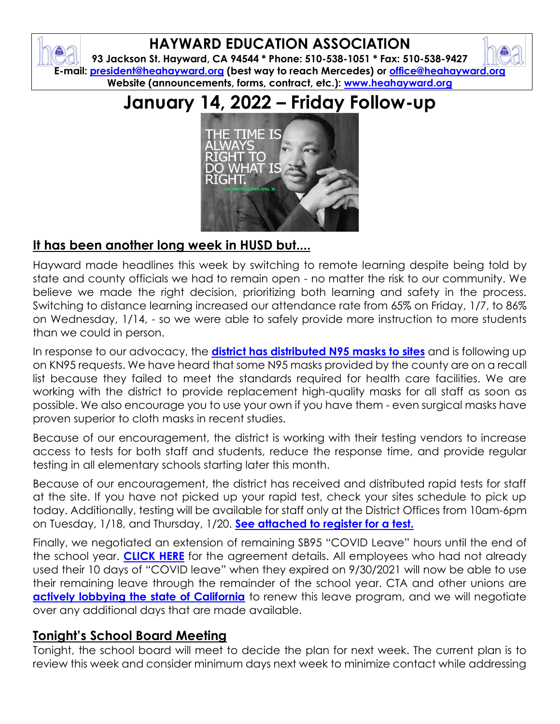# **HAYWARD EDUCATION ASSOCIATION**

**93 Jackson St. Hayward, CA 94544 \* Phone: 510-538-1051 \* Fax: 510-538-9427 E-mail: [president@heahayward.org](mailto:president@heahayward.org) (best way to reach Mercedes) or [office@heahayward.org](mailto:office@heahayward.org) Website (announcements, forms, contract, etc.): [www.heahayward.org](http://www.heahayward.org/)**

# **January 14, 2022 – Friday Follow-up**



## **It has been another long week in HUSD but....**

Hayward made headlines this week by switching to remote learning despite being told by state and county officials we had to remain open - no matter the risk to our community. We believe we made the right decision, prioritizing both learning and safety in the process. Switching to distance learning increased our attendance rate from 65% on Friday, 1/7, to 86% on Wednesday, 1/14, - so we were able to safely provide more instruction to more students than we could in person.

In response to our advocacy, the **[district has distributed N95 masks to sites](https://docs.google.com/document/d/1sttXX0ApIKbu__qH87nNO1Av3r8EOPGz/edit?usp=sharing&ouid=106387318619838498065&rtpof=true&sd=true)** and is following up on KN95 requests. We have heard that some N95 masks provided by the county are on a recall list because they failed to meet the standards required for health care facilities. We are working with the district to provide replacement high-quality masks for all staff as soon as possible. We also encourage you to use your own if you have them - even surgical masks have proven superior to cloth masks in recent studies.

Because of our encouragement, the district is working with their testing vendors to increase access to tests for both staff and students, reduce the response time, and provide regular testing in all elementary schools starting later this month.

Because of our encouragement, the district has received and distributed rapid tests for staff at the site. If you have not picked up your rapid test, check your sites schedule to pick up today. Additionally, testing will be available for staff only at the District Offices from 10am-6pm on Tuesday, 1/18, and Thursday, 1/20. **[See attached to register for a test.](https://docs.google.com/document/d/1C9AZsTfrPHSMlLktXkYDtus390JFpqo1/edit?usp=sharing&ouid=106387318619838498065&rtpof=true&sd=true)**

Finally, we negotiated an extension of remaining SB95 "COVID Leave" hours until the end of the school year. **[CLICK](https://drive.google.com/file/d/10o7g-E52gN30WHF5H46yXfAtmTCk_7ig/view?usp=sharing) HERE** for the agreement details. All employees who had not already used their 10 days of "COVID leave" when they expired on 9/30/2021 will now be able to use their remaining leave through the remainder of the school year. CTA and other unions are **[actively lobbying the state of California](https://docs.google.com/document/d/15u63Drxm5Rd3tsxJwK-CvddqrqM1S-GR/edit?usp=sharing&ouid=106387318619838498065&rtpof=true&sd=true)** to renew this leave program, and we will negotiate over any additional days that are made available.

### **Tonight's School Board Meeting**

Tonight, the school board will meet to decide the plan for next week. The current plan is to review this week and consider minimum days next week to minimize contact while addressing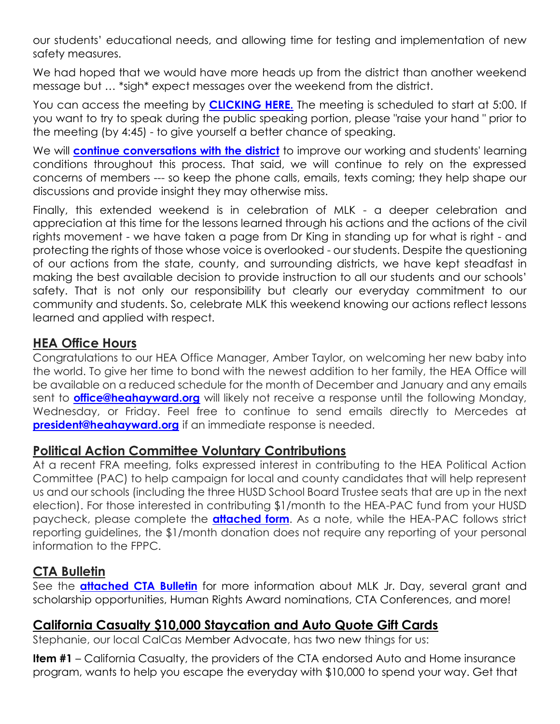our students' educational needs, and allowing time for testing and implementation of new safety measures.

We had hoped that we would have more heads up from the district than another weekend message but … \*sigh\* expect messages over the weekend from the district.

You can access the meeting by **[CLICKING HERE.](https://www.husd.us/boardt)** The meeting is scheduled to start at 5:00. If you want to try to speak during the public speaking portion, please "raise your hand " prior to the meeting (by 4:45) - to give yourself a better chance of speaking.

We will **[continue conversations with the district](https://docs.google.com/document/d/1ewAaRBlQd-a3A3XoPAc4bR4E4VbZfmD5/edit?usp=sharing&ouid=106387318619838498065&rtpof=true&sd=true)** to improve our working and students' learning conditions throughout this process. That said, we will continue to rely on the expressed concerns of members --- so keep the phone calls, emails, texts coming; they help shape our discussions and provide insight they may otherwise miss.

Finally, this extended weekend is in celebration of MLK - a deeper celebration and appreciation at this time for the lessons learned through his actions and the actions of the civil rights movement - we have taken a page from Dr King in standing up for what is right - and protecting the rights of those whose voice is overlooked - our students. Despite the questioning of our actions from the state, county, and surrounding districts, we have kept steadfast in making the best available decision to provide instruction to all our students and our schools' safety. That is not only our responsibility but clearly our everyday commitment to our community and students. So, celebrate MLK this weekend knowing our actions reflect lessons learned and applied with respect.

#### **HEA Office Hours**

Congratulations to our HEA Office Manager, Amber Taylor, on welcoming her new baby into the world. To give her time to bond with the newest addition to her family, the HEA Office will be available on a reduced schedule for the month of December and January and any emails sent to **[office@heahayward.org](mailto:office@heahayward.org)** will likely not receive a response until the following Monday, Wednesday, or Friday. Feel free to continue to send emails directly to Mercedes at **[president@heahayward.org](mailto:president@heahayward.org)** if an immediate response is needed.

#### **Political Action Committee Voluntary Contributions**

At a recent FRA meeting, folks expressed interest in contributing to the HEA Political Action Committee (PAC) to help campaign for local and county candidates that will help represent us and our schools (including the three HUSD School Board Trustee seats that are up in the next election). For those interested in contributing \$1/month to the HEA-PAC fund from your HUSD paycheck, please complete the **[attached form](https://drive.google.com/file/d/1uimKH-c7u73aWyBcF3ZkAuyiYhuBqfEt/view?usp=sharing)**. As a note, while the HEA-PAC follows strict reporting guidelines, the \$1/month donation does not require any reporting of your personal information to the FPPC.

#### **CTA Bulletin**

See the **[attached CTA Bulletin](https://drive.google.com/file/d/1cNUXYrMgyfXCFYw7uKJyIvvGmhXjCUke/view?usp=sharing)** for more information about MLK Jr. Day, several grant and scholarship opportunities, Human Rights Award nominations, CTA Conferences, and more!

### **California Casualty \$10,000 Staycation and Auto Quote Gift Cards**

Stephanie, our local CalCas Member Advocate, has two new things for us:

**Item #1** – California Casualty, the providers of the CTA endorsed Auto and Home insurance program, wants to help you escape the everyday with \$10,000 to spend your way. Get that